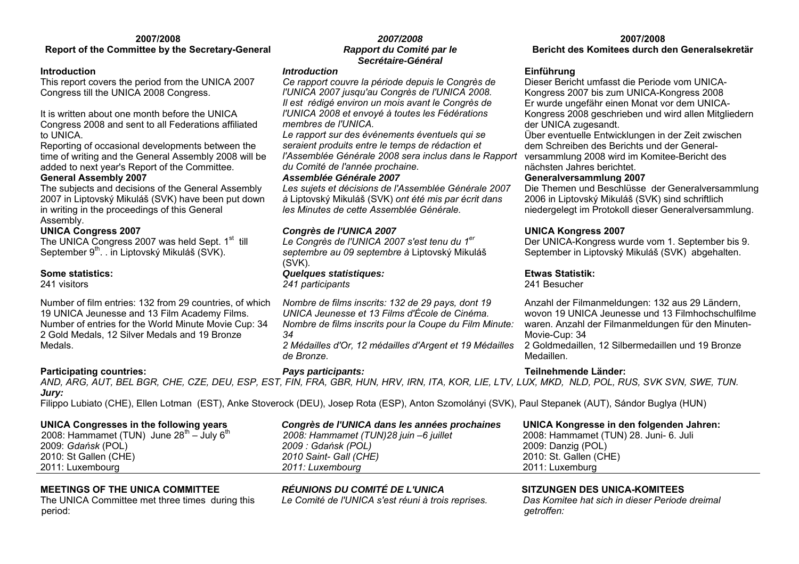### **2007/2008 Report of the Committee by the Secretary-General**

### **Introduction**

This report covers the period from the UNICA 2007 Congress till the UNICA 2008 Congress.

It is written about one month before the UNICA Congress 2008 and sent to all Federations affiliated to UNICA.

Reporting of occasional developments between the time of writing and the General Assembly 2008 will be added to next year's Report of the Committee.

### **General Assembly 2007**

The subjects and decisions of the General Assembly 2007 in Liptovský Mikuláš (SVK) have been put down in writing in the proceedings of this General Assembly.

### **UNICA Congress 2007**

The UNICA Congress 2007 was held Sept.  $1<sup>st</sup>$  till September 9<sup>th</sup>. . in Liptovský Mikuláš (SVK).

### **Some statistics:**

241 visitors

Number of film entries: 132 from 29 countries, of which 19 UNICA Jeunesse and 13 Film Academy Films. Number of entries for the World Minute Movie Cup: 34 2 Gold Medals, 12 Silver Medals and 19 Bronze Medals.

### **Participating countries:** *Pays participants:* **Teilnehmende Länder:**

### *2007/2008 Rapport du Comité par le Secrétaire-Général*

### *Introduction*

*Ce rapport couvre la période depuis le Congrès de l'UNICA 2007 jusqu'au Congrès de l'UNICA 2008. Il est rédigé environ un mois avant le Congrès de l'UNICA 2008 et envoyé à toutes les Fédérations membres de l'UNICA.* 

*Le rapport sur des événements éventuels qui se seraient produits entre le temps de rédaction et l'Assemblée Générale 2008 sera inclus dans le Rapport du Comité de l'année prochaine.*

### *Assemblée Générale 2007*

*Les sujets et décisions de l'Assemblée Générale 2007 à* Liptovský Mikuláš (SVK) *ont été mis par écrit dans les Minutes de cette Assemblée Générale.*

### *Congrès de l'UNICA 2007*

*Le Congrès de l'UNICA 2007 s'est tenu du 1er septembre au 09 septembre à* Liptovský Mikuláš (SVK)*.* 

# *Quelques statistiques:*

*241 participants* 

*Nombre de films inscrits: 132 de 29 pays, dont 19 UNICA Jeunesse et 13 Films d'École de Cinéma. Nombre de films inscrits pour la Coupe du Film Minute: 34* 

*2 Médailles d'Or, 12 médailles d'Argent et 19 Médailles de Bronze.* 

**2007/2008 Bericht des Komitees durch den Generalsekretär** 

# **Einführung**

Dieser Bericht umfasst die Periode vom UNICA-Kongress 2007 bis zum UNICA-Kongress 2008 Er wurde ungefähr einen Monat vor dem UNICA-Kongress 2008 geschrieben und wird allen Mitgliedern der UNICA zugesandt.

Über eventuelle Entwicklungen in der Zeit zwischen dem Schreiben des Berichts und der Generalversammlung 2008 wird im Komitee-Bericht des nächsten Jahres berichtet.

### **Generalversammlung 2007**

Die Themen und Beschlüsse der Generalversammlung 2006 in Liptovský Mikuláš (SVK) sind schriftlich niedergelegt im Protokoll dieser Generalversammlung.

# **UNICA Kongress 2007**

Der UNICA-Kongress wurde vom 1. September bis 9. September in Liptovský Mikuláš (SVK) abgehalten.

### **Etwas Statistik:**

241 Besucher

Anzahl der Filmanmeldungen: 132 aus 29 Ländern, wovon 19 UNICA Jeunesse und 13 Filmhochschulfilme waren. Anzahl der Filmanmeldungen für den Minuten-Movie-Cup: 34

2 Goldmedaillen, 12 Silbermedaillen und 19 Bronze Medaillen.

*AND, ARG, AUT, BEL BGR, CHE, CZE, DEU, ESP, EST, FIN, FRA, GBR, HUN, HRV, IRN, ITA, KOR, LIE, LTV, LUX, MKD, NLD, POL, RUS, SVK SVN, SWE, TUN. Jury:*

Filippo Lubiato (CHE), Ellen Lotman (EST), Anke Stoverock (DEU), Josep Rota (ESP), Anton Szomolányi (SVK), Paul Stepanek (AUT), Sándor Buglya (HUN)

**UNICA Congresses in the following years**  2008: Hammamet (TUN) June  $28^{th}$  – July  $6^{th}$ 2009: *Gdańsk* (POL) 2010: St Gallen (CHE) 2011: Luxembourg

### *Congrès de l'UNICA dans les années prochaines 2008: Hammamet (TUN)28 juin –6 juillet 2009 : Gdańsk (POL) 2010 Saint- Gall (CHE) 2011: Luxembourg*

**UNICA Kongresse in den folgenden Jahren:** 2008: Hammamet (TUN) 28. Juni- 6. Juli 2009: Danzig (POL) 2010: St. Gallen (CHE) 2011: Luxemburg

The UNICA Committee met three times during this period:

**MEETINGS OF THE UNICA COMMITTEE** *RÉUNIONS DU COMITÉ DE L'UNICA* **SITZUNGEN DES UNICA-KOMITEES** 

*Le Comité de l'UNICA s'est réuni à trois reprises. Das Komitee hat sich in dieser Periode dreimal getroffen:*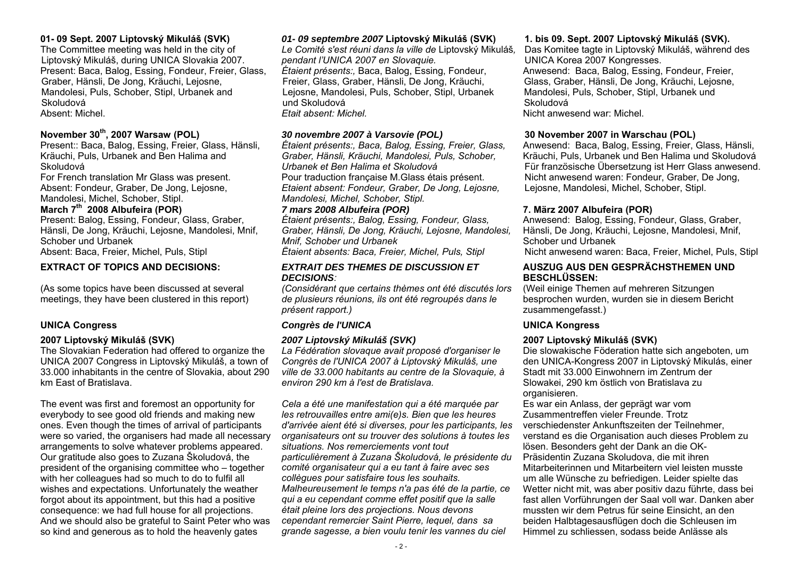### **01- 09 Sept. 2007 Liptovský Mikuláš (SVK)**

The Committee meeting was held in the city of Liptovský Mikuláš, during UNICA Slovakia 2007. Present: Baca, Balog, Essing, Fondeur, Freier, Glass, Graber, Hänsli, De Jong, Kräuchi, Lejosne, Mandolesi, Puls, Schober, Stipl, Urbanek and Skoludová Absent: Michel.

### **Nov ember 30th, 2007 Warsaw (POL)**

Present:: Bac a, Balog, Essing, Freier, Glass, Hänsli, Kräuchi, Puls, Urbanek and Ben Halima and Skoludová

For French translation Mr Glass was present. Absent: Fondeur, Graber, De Jong, Lejosne, Mandolesi, Michel, Schober, Stipl.

### **March 7th 2008 Albufeira (POR)**

Present: Balog, Essing, Fondeur, Glass, Graber, Hänsli, De Jong, Kräuchi, Lejosne, Mandolesi, Mnif, Schober und Urbanek Absent: Bac a, Freier, Michel, Puls, Stipl

### **EXTRACT OF TOPICS AND DECISIONS:**

(As some topics have been discussed at several meetings, they have been clustered in this report)

The Slovakian Federation had offered to organize the UNICA 2007 Congress in Liptovský Mikuláš, a town of 33.000 inhabitants in the centre of Slovakia, about 290 km East of Bratislava.

The event was first and foremost an opportunity for everybody to see good old friends and making new ones. Even though the times of arrival of participants were so varied, the organisers had made all necessary arrangements to solve whatever problems appeared. Our gratitude also goes to Zuzana Školudová, the president of the organising committee who – together with her colleagues had so much to do to fulfil all wishes and expectations. Unfortunately the weather forgot about its appointment, but this had a positive consequence: we had full house for all projections. And we should also be grateful to Saint Peter who was so kind and generous as to hold the heavenly gates

### *01- 09 septembre 2007* **Liptovský Mikuláš (SVK)**

*Le Comité s'est réuni dans la ville de* Liptovský Mikuláš*, pendant l'UNICA 2007 en Slovaquie. Étaient présents:,* Baca, Balog, Essing, Fondeur, Freier, Glass, Graber, Hänsli, De Jong, Kräuchi, Lejosne, Mandolesi, Puls, Schober, Stipl, Urbanek und Skoludová*Etait absent: Michel.*

### *30 novembre 2007 à Varsovie (POL)*

*Étaient présents:, Baca, Balog, Essing, Freier, Glass, Graber, Hänsli, Kräuchi, Mandolesi, Puls, Schober, Urbanek et Ben Halima et Skoludová* Pour traduction française M.Glass étais présent. *Etaient absent: Fondeur, Graber, De Jong, Lejosne, Mandolesi, Michel, Schober, Stipl.*

### *7 mars 2008 Albufeira (POR)*

*Étaient présents:, Balog, Essing, Fondeur, Glass, Graber, Hänsli, De Jong, Kräuchi, Lejosne, Mandolesi, Mnif, Schober und Urbanek* 

*Ëtaient absents: Baca, Freier, Michel, Puls, Stipl*

### *EXTRAIT DES THEMES DE DISCUSSION ET DECISIONS:*

*(Considérant que certains thèmes ont été discutés lors de plusieurs réunions, ils ont été regroupés dans le présent rapport.)* 

### **UNICA Congress** *Congrès de l'UNICA* **UNICA Kongress**

### **2007 Liptovský Mikuláš (SVK)** *2007 Liptovský Mikuláš (SVK)* **2007 Liptovský Mikuláš (SVK)**

*La Fédération slovaque avait proposé d'organiser le Congrès de l'UNICA 2007 à Liptovský Mikuláš, une ville de 33.000 habitants au centre de la Slovaquie, à environ 290 km à l'est de Bratislava.* 

*Cela a été une manifestation qui a été m arquée par les retrouvailles entre ami(e)s. Bien que les heures d'arrivée aient été si diverses, pour les participants, les organisateurs ont su trouver des solutions à toutes les situations. Nos remerciements vont tout particulièrement à Zuzana Školudová, le présidente du comité organisateur qui a eu tant à faire avec ses collègues pour satisfaire tous les souhaits. Malheureusement le tem ps n'a pas été de la partie, ce qui a eu cependant com me effet positif que la salle était pleine lors des projections. Nous devons cependant rem ercier Saint Pierre, lequel, dans sa grande sagesse, a bien voulu tenir les vannes du ciel* 

### **1. bis 09. Sept. 2007 Liptovský Mikuláš (SVK).**

Das Komitee tagte in Liptovský Mikuláš, während des UNICA Korea 2007 Kongresses. Anwesend: Baca, Balog, Essing, Fondeur, Freier, Glass, Graber, Hänsli, De Jong, Kräuchi, Lejosne, Mandolesi, Puls, Schober, Stipl, Urbanek und SkoludováNicht anwesend war: Michel.

### **30 Nov ember 2007 in Warschau (POL)**

Anwesend: Baca, Balog, Essing, Freier, Glass, Hänsli, Kräuchi, Puls, Urbanek und Ben Halima und Skoludová Für französische Übersetzung ist Herr Glass anwesend. Nicht anwesend waren: Fondeur, Graber, De Jong, Lejosne, Mandolesi, Michel, Schober, Stipl.

### **7. März 2007 Albufeira (POR)**

Anwesend: Balog, Essing, Fondeur, Glass, Graber, Hänsli, De Jong, Kräuchi, Lejosne, Mandolesi, Mnif, Schober und Urbanek

Nicht anwesend waren: Baca, Freier, Michel, Puls, Stipl

### **AUSZUG AUS DEN GESPRÄCHSTHEMEN UND BESCHLÜSSEN:**

(Weil einige Themen auf mehreren Sitzungen besprochen wurden, wurden sie in diesem Bericht zusammengefasst.)

Die slowakische Föderation hatte sich angeboten, um den UNICA-Kongress 2007 in Liptovský Mikulás, einer Stadt mit 33.000 Einwohnern im Zentrum der Slowakei, 290 km östlich von Bratislava zu organisieren.

Es war ein Anlass, der geprägt war vom Zusammentreffen vieler Freunde. Trotz verschiedenster Ankunftszeiten der Teilnehmer, verstand es die Organisation auch dieses Problem zu lösen. Besonders geht der Dank an die OK-Präsidentin Zuzana Skoludova, die mit ihren Mitarbeiterinnen und Mitarbeitern viel leisten musste um alle Wünsche zu befriedigen. Leider spielte das Wetter nicht mit, was aber positiv dazu führte, dass bei fast allen Vorführungen der Saal voll war. Danken aber mussten wir dem Petrus für seine Einsicht, an den beiden Halbtagesausflügen doch die Schleusen im Himmel zu schliessen, sodass beide Anlässe als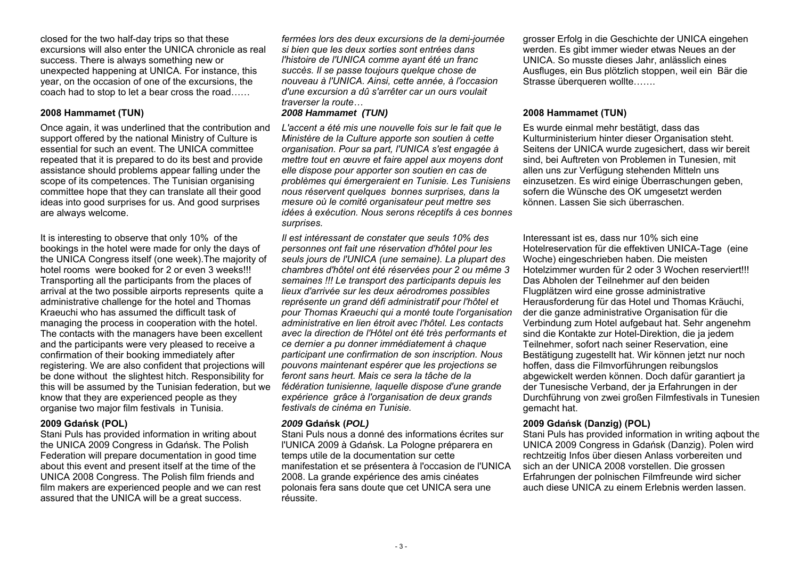closed for the two half-day trips so that these excursions will also enter the UNICA chronicle as real success. There is always something new or unexpected happening at UNICA. For instance, this year, on the occasion of one of the excursions, the coach had to stop to let a bear cross the road……

Once again, it was underlined that the contribution and support offered by the national Ministry of Culture is essential for such an event. The UNICA committee repeated that it is prepared to do its best and provide assistance should problems appear falling under the scope of its competences. The Tunisian organising committee hope that they can translate all their good ideas into good surprises for us. And good surprises are always welcome.

It is interesting to observe that only 10% of the bookings in the hotel were made for only the days of the UNICA Congress itself (one week).The majority of hotel rooms were booked for 2 or even 3 weeks!!! Transporting all the participants from the places of arrival at the two possible airports represents quite a administrative challenge for the hotel and Thomas Kraeuchi who has assumed the difficult task of managing the process in cooperation with the hotel. The contacts with the managers have been excellent and the participants were very pleased to receive a confirmation of their booking immediately after registering. We are also confident that projections will be done without the slightest hitch. Responsibility for this will be assumed by the Tunisian federation, but we know that they are experienced people as they organise two major film festivals in Tunisia.

Stani Puls has provided information in writing about the UNICA 2009 Congress in Gdańsk. The Polish Federation will prepare documentation in good time about this event and present itself at the time of the UNICA 2008 Congress. The Polish film friends and film makers are experienced people and we can rest assured that the UNICA will be a great success.

*fermées lors des deux excursions de la demi-journée si bien que les deux sorties sont entrées dans l'histoire de l'UNICA comme ayant été un franc succès. Il se passe toujours quelque chose de nouveau à l'UNICA. Ainsi, cette année, à l'occasion d'une excursion a dû s'arrêter car un ours voulait traverser la route…*

### **2008 Hammamet (TUN)** *2008 Hammamet (TUN)* **2008 Hammamet (TUN)**

L'accent a été mis une nouvelle fois sur le fait que le *Ministère de la Culture apporte son soutien à cette organisation. Pour sa part, l'UNICA s'est engagée à mettre tout en œuvre et faire appel aux moyens dont elle dispose pour apporter son soutien en cas de problèmes qui émergeraient en Tunisie. Les Tunisiens nous réservent quelques bonnes surprises, dans la mesure où le comité organisateur peut mettre ses idées à exécution. Nous serons réceptifs à ces bonnes surprises.*

*Il est intéressant de constater que seuls 10% des personnes ont fait une réservation d'hôtel pour les seuls jours de l'UNICA (une semaine). La plupart des chambres d'hôtel ont été réservées pour 2 ou même 3 semaines !!! Le transport des participants depuis les lieux d'arrivée sur les deux aérodromes possibles représente un grand défi administratif pour l'hôtel et pour Thomas Kraeuchi qui a monté toute l'organisation administrative en lien étroit avec l'hôtel. Les contacts avec la direction de l'Hôtel ont été très performants et ce dernier a pu donner immédiatement à chaque participant une confirmation de son inscription. Nous pouvons maintenant espérer que les projections se feront sans heurt. Mais ce sera la tâche de la fédération tunisienne, laquelle dispose d'une grande expérience grâce à l'organisation de deux grands festivals de cinéma en Tunisie.* 

Stani Puls nous a donné des informations écrites sur l'UNICA 2009 à Gdańsk. La Pologne préparera en temps utile de la documentation sur cette manifestation et se présentera à l'occasion de l'UNICA 2008. La grande expérience des amis cinéates polonais fera sans doute que cet UNICA sera une réussite.

grosser Erfolg in die Geschichte der UNICA eingehen werden. Es gibt immer wieder etwas Neues an der UNICA. So musste dieses Jahr, anlässlich eines Ausfluges, ein Bus plötzlich stoppen, weil ein Bär die Strasse überqueren wollte…….

Es wurde einmal mehr bestätigt, dass das Kulturministerium hinter dieser Organisation steht. Seitens der UNICA wurde zugesichert, dass wir bereit sind, bei Auftreten von Problemen in Tunesien, mit allen uns zur Verfügung stehenden Mitteln uns einzusetzen. Es wird einige Überraschungen geben, sofern die Wünsche des OK umgesetzt werden können. Lassen Sie sich überraschen.

Interessant ist es, dass nur 10% sich eine Hotelreservation für die effektiven UNICA-Tage (eine Woche) eingeschrieben haben. Die meisten Hotelzimmer wurden für 2 oder 3 Wochen reserviert!!! Das Abholen der Teilnehmer auf den beiden Flugplätzen wird eine grosse administrative Herausforderung für das Hotel und Thomas Kräuchi, der die ganze administrative Organisation für die Verbindung zum Hotel aufgebaut hat. Sehr angenehm sind die Kontakte zur Hotel-Direktion, die ja jedem Teilnehmer, sofort nach seiner Reservation, eine Bestätigung zugestellt hat. Wir können jetzt nur noch hoffen, dass die Filmvorführungen reibungslos abgewickelt werden können. Doch dafür garantiert ja der Tunesische Verband, der ja Erfahrungen in der Durchführung von zwei großen Filmfestivals in Tunesien gemacht hat.

### **2009 Gdańsk (POL)** *2009* **Gdańsk (***POL)* **2009 Gdańsk (Danzig) (POL)**

Stani Puls has provided information in writing aqbout the UNICA 2009 Congress in Gdańsk (Danzig). Polen wird rechtzeitig Infos über diesen Anlass vorbereiten und sich an der UNICA 2008 vorstellen. Die grossen Erfahrungen der polnischen Filmfreunde wird sicher auch diese UNICA zu einem Erlebnis werden lassen.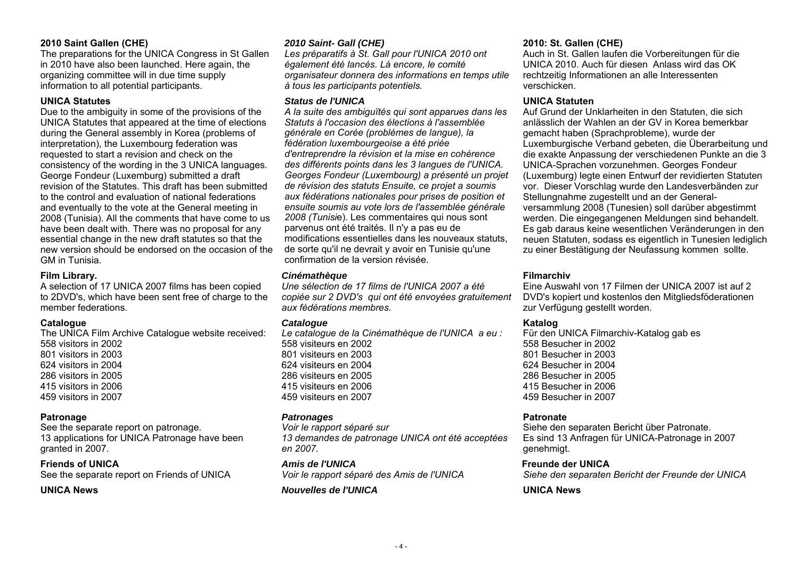### **2010 Saint Gallen (CHE)** *2010 Saint- Gall (CHE)* **2010: St. Gallen (CHE)**

The preparations for the UNICA Congress in St Gallen in 2010 have also been launched. Here again, the organizing committee will in due time supply information to all potential participants.

Due to the ambiguity in some of the provisions of the UNICA Statutes that appeared at the time of elections during the General assembly in Korea (problems of interpretation), the Luxembourg federation was requested to start a revision and check on the consistency of the wording in the 3 UNICA languages. George Fondeur (Luxemburg) submitted a draft revision of the Statutes. This draft has been submitted to the control and evaluation of national federations and eventually to the vote at the General meeting in 2008 (Tunisia). All the comments that have come to us have been dealt with. There was no proposal for any essential change in the new draft statutes so that the new version should be endorsed on the occasion of the GM in Tunisia.

A selection of 17 UNICA 2007 films has been copied to 2DVD's, which have been sent free of charge to the member federations.

### **Catalogue** *Catalogue* **Katalog**

The UNICA Film Archive Catalogue website received: 558 visitors in 2002 801 visitors in 2003 624 visitors in 2004 286 visitors in 2005 415 visitors in 2006 459 visitors in 2007

See the separate report on patronage. 13 applications for UNICA Patronage have been granted in 2007.

# **UNICA News**

*Les préparatifs à St. Gall pour l'UNICA 2010 ont également été lancés. Là encore, le comité organisateur donnera des informations en temps utile à tous les participants potentiels.*

### **UNICA Statutes** *Status de l'UNICA* **UNICA Statuten**

*A la suite des ambiguïtés qui sont apparues dans les Statuts à l'occasion des élections à l'assemblée générale en Corée (problèmes de langue), la fédération luxembourgeoise a été priée d'entreprendre la révision et la mise en cohérence des différents points dans les 3 langues de l'UNICA. Georges Fondeur (Luxembourg) a présenté un projet de révision des statuts Ensuite, ce projet a soumis aux fédérations nationales pour prises de position et ensuite soumis au vote lors de l'assemblée générale 2008 (Tunisi*e). Les commentaires qui nous sont parvenus ont été traités. Il n'y a pas eu de modifications essentielles dans les nouveaux statuts, de sorte qu'il ne devrait y avoir en Tunisie qu'une confirmation de la version révisée.

### **Film Library.** *Cinémathèque* **Filmarchiv**

*Une sélection de 17 films de l'UNICA 2007 a été copiée sur 2 DVD's qui ont été envoyées gratuitement aux fédérations membres.* 

*Le catalogue de la Cinémathèque de l'UNICA a eu :*  558 visiteurs en 2002 801 visiteurs en 2003 624 visiteurs en 2004 286 visiteurs en 2005 415 visiteurs en 2006 459 visiteurs en 2007

# **Patronage** *Patronages* **Patronate**

*Voir le rapport séparé sur 13 demandes de patronage UNICA ont été acceptées en 2007.* 

# **Friends of UNICA** *Amis de l'UNICA* **Freunde der UNICA**

### *Nouvelles de l'UNICA* **UNICA News**

Auch in St. Gallen laufen die Vorbereitungen für die UNICA 2010. Auch für diesen Anlass wird das OK rechtzeitig Informationen an alle Interessenten verschicken.

Auf Grund der Unklarheiten in den Statuten, die sich anlässlich der Wahlen an der GV in Korea bemerkbar gemacht haben (Sprachprobleme), wurde der Luxemburgische Verband gebeten, die Überarbeitung und die exakte Anpassung der verschiedenen Punkte an die 3 UNICA-Sprachen vorzunehmen. Georges Fondeur (Luxemburg) legte einen Entwurf der revidierten Statuten vor. Dieser Vorschlag wurde den Landesverbänden zur Stellungnahme zugestellt und an der Generalversammlung 2008 (Tunesien) soll darüber abgestimmt werden. Die eingegangenen Meldungen sind behandelt. Es gab daraus keine wesentlichen Veränderungen in den neuen Statuten, sodass es eigentlich in Tunesien lediglich zu einer Bestätigung der Neufassung kommen sollte.

Eine Auswahl von 17 Filmen der UNICA 2007 ist auf 2 DVD's kopiert und kostenlos den Mitgliedsföderationen zur Verfügung gestellt worden.

Für den UNICA Filmarchiv-Katalog gab es 558 Besucher in 2002 801 Besucher in 2003 624 Besucher in 2004 286 Besucher in 2005 415 Besucher in 2006 459 Besucher in 2007

Siehe den separaten Bericht über Patronate. Es sind 13 Anfragen für UNICA-Patronage in 2007 genehmigt.

See the separate report on Friends of UNICA *Voir le rapport séparé des Amis de l'UNICA Siehe den separaten Bericht der Freunde der UNICA*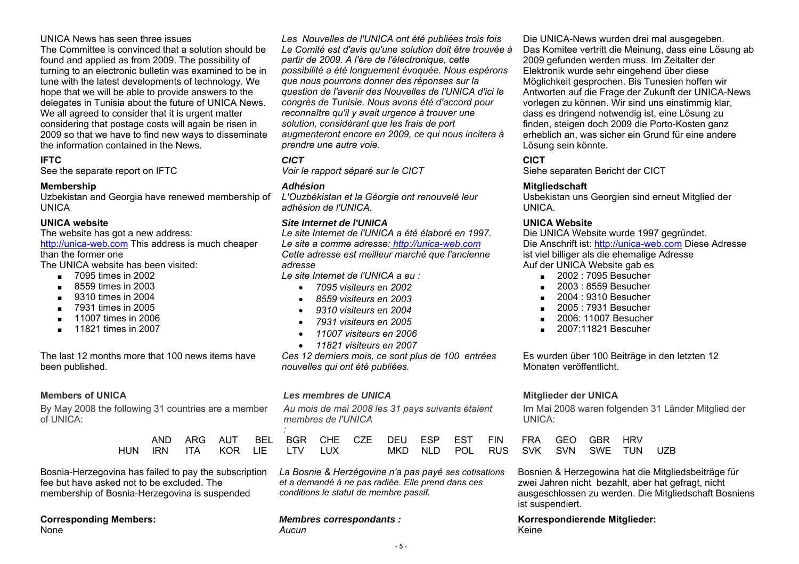### UNICA News has seen three issues

The Committee is convinced that a solution should be found and applied as from 2009. The possibility of turning to an electronic bulletin was examined to be in tune with the latest developments of technology. We hope that we will be able to provide answers to the delegates in Tunisia about the future of UNICA News. We all agreed to consider that it is urgent matter considering that postage costs will again be risen in 2009 so that we have to find new ways to disseminate the information contained in the News.

Uzbekistan and Georgia have renewed membership of **UNICA** 

### **UNICA website**

The website has got a new address: http://unica-web.com This address is much cheaper

than the former one

The UNICA website has been visited:

- 7095 times in 2002
- ■8559 times in 2003
- 9310 times in 2004
- 7931 times in 2005
- ■11007 times in 2006
- ■11821 times in 2007

The last 12 months more that 100 news items have been published.

By May 2008 the following 31 countries are a member of UNICA:

|  |  | AND ARG AUT BEL BGR CHE CZE DEU ES |  |        |  |
|--|--|------------------------------------|--|--------|--|
|  |  | IUN IRN ITA KOR LIE LTV LUX        |  | MKD NL |  |

Bosnia-Herzegovina has failed to pay the subscription fee but have asked not to be excluded. The membership of Bosnia-Herzegovina is suspended

# **Corresponding Members:**

None

*Les Nouvelles de l'UNICA ont été publiées trois fois Le Comité est d'avis qu'une solution doit être trouvée à partir de 2009. A l'ère de l'électronique, cette possibilité a été longuement évoquée. Nous espérons que nous pourrons donner des réponses sur la question de l'avenir des Nouvelles de l'UNICA d'ici le congrès de Tunisie. Nous avons été d'accord pour reconnaître qu'il y avait urgence à trouver une solution, considérant que les frais de port augmenteront encore en 2009, ce qui nous incitera à prendre une autre voie.* 

# **IFTC** *CICT*

*L'Ouzbékistan et la Géorgie ont renouvelé leur adhésion de l'UNICA.* 

### *Site Internet de l'UNICA* **UNICA Website**

*Le site Internet de l'UNICA a été élaboré en 1997. Le site a comme adresse: http://unica-web.com Cette adresse est meilleur marché que l'ancienne adresse* 

*Le site Internet de l'UNICA a eu :* 

- *7095 visiteurs en 2002*
- *8559 visiteurs en 2003*
- *9310 visiteurs en 2004*
- *7931 visiteurs en 2005*
- *11007 visiteurs en 2006*
- *11821 visiteurs en 2007*

*Ces 12 derniers mois, ce sont plus de 100 entrées nouvelles qui ont été publiées.* 

### **Members of UNICA** *Les membres de UNICA* **Mitglieder der UNICA**

*Au mois de mai 2008 les 31 pays suivants étaient membres de l'UNICA* 

|  |  |                             |  | AND ARG AUT BEL BGR CHE CZE DEU ESP EST FIN FRA GEO GBR HRV |  |  |  |  |
|--|--|-----------------------------|--|-------------------------------------------------------------|--|--|--|--|
|  |  | HUN IRN ITA KOR LIE LTV LUX |  | MKD NLD POL RUS SVK SVN SWE TUN UZB                         |  |  |  |  |

*La Bosnie & Herzégovine n'a pas payé ses cotisations et a demandé à ne pas radiée. Elle prend dans ces conditions le statut de membre passif.*

### *Membres correspondants : Aucun*

Die UNICA-News wurden drei mal ausgegeben. Das Komitee vertritt die Meinung, dass eine Lösung ab 2009 gefunden werden muss. Im Zeitalter der Elektronik wurde sehr eingehend über diese Möglichkeit gesprochen. Bis Tunesien hoffen wir Antworten auf die Frage der Zukunft der UNICA-News vorlegen zu können. Wir sind uns einstimmig klar, dass es dringend notwendig ist, eine Lösung zu finden, steigen doch 2009 die Porto-Kosten ganz erheblich an, was sicher ein Grund für eine andere Lösung sein könnte.

# **CICT**

See the separate report on IFTC *Voir le rapport séparé sur le CICT* Siehe separaten Bericht der CICT

### **Membership** *Adhésion* **Mitgliedschaft**

Usbekistan uns Georgien sind erneut Mitglied der UNICA.

Die UNICA Website wurde 1997 gegründet. Die Anschrift ist: http://unica-web.com Diese Adresse ist viel billiger als die ehemalige Adresse Auf der UNICA Website gab es

- 2002 : 7095 Besucher
- 2003 : 8559 Besucher
- ■2004 : 9310 Besucher
- 2005 : 7931 Besucher
- 2006: 11007 Besucher
- 2007:11821 Bescuher

Es wurden über 100 Beiträge in den letzten 12 Monaten veröffentlicht.

Im Mai 2008 waren folgenden 31 Länder Mitglied der UNICA:

| FRA GEO GBR HRV |  |     |
|-----------------|--|-----|
| SVK SVN SWE TUN |  | UZF |

Bosnien & Herzegowina hat die Mitgliedsbeiträge für zwei Jahren nicht bezahlt, aber hat gefragt, nicht ausgeschlossen zu werden. Die Mitgliedschaft Bosniens ist suspendiert.

**Korrespondierende Mitglieder:**  Keine